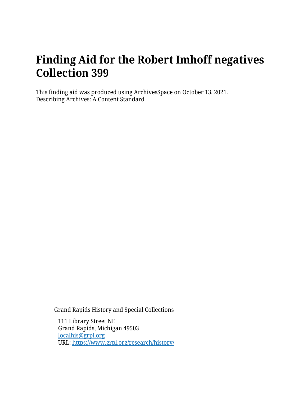# **Finding Aid for the Robert Imhoff negatives Collection 399**

This finding aid was produced using ArchivesSpace on October 13, 2021. Describing Archives: A Content Standard

Grand Rapids History and Special Collections

111 Library Street NE Grand Rapids, Michigan 49503 [localhis@grpl.org](mailto:localhis@grpl.org) URL:<https://www.grpl.org/research/history/>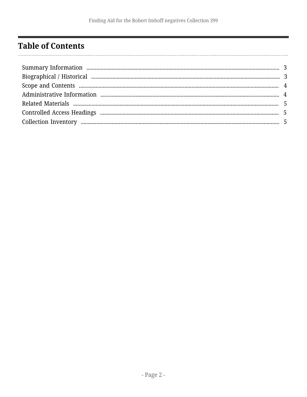# <span id="page-1-0"></span>**Table of Contents**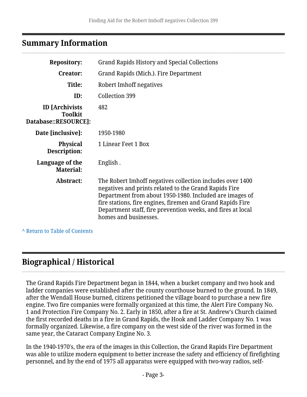# <span id="page-2-0"></span>**Summary Information**

| <b>Repository:</b>                                              | <b>Grand Rapids History and Special Collections</b>                                                                                                                                                                                                                                                                                 |
|-----------------------------------------------------------------|-------------------------------------------------------------------------------------------------------------------------------------------------------------------------------------------------------------------------------------------------------------------------------------------------------------------------------------|
| <b>Creator:</b>                                                 | Grand Rapids (Mich.). Fire Department                                                                                                                                                                                                                                                                                               |
| Title:                                                          | Robert Imhoff negatives                                                                                                                                                                                                                                                                                                             |
| ID:                                                             | Collection 399                                                                                                                                                                                                                                                                                                                      |
| <b>ID</b> [Archivists<br><b>Toolkit</b><br>Database::RESOURCE]: | 482                                                                                                                                                                                                                                                                                                                                 |
| Date [inclusive]:                                               | 1950-1980                                                                                                                                                                                                                                                                                                                           |
| <b>Physical</b><br>Description:                                 | 1 Linear Feet 1 Box                                                                                                                                                                                                                                                                                                                 |
| Language of the<br><b>Material:</b>                             | English.                                                                                                                                                                                                                                                                                                                            |
| Abstract:                                                       | The Robert Imhoff negatives collection includes over 1400<br>negatives and prints related to the Grand Rapids Fire<br>Department from about 1950-1980. Included are images of<br>fire stations, fire engines, firemen and Grand Rapids Fire<br>Department staff, fire prevention weeks, and fires at local<br>homes and businesses. |
|                                                                 |                                                                                                                                                                                                                                                                                                                                     |

**^** [Return to Table of Contents](#page-1-0)

# <span id="page-2-1"></span>**Biographical / Historical**

The Grand Rapids Fire Department began in 1844, when a bucket company and two hook and ladder companies were established after the county courthouse burned to the ground. In 1849, after the Wendall House burned, citizens petitioned the village board to purchase a new fire engine. Two fire companies were formally organized at this time, the Alert Fire Company No. 1 and Protection Fire Company No. 2. Early in 1850, after a fire at St. Andrew's Church claimed the first recorded deaths in a fire in Grand Rapids, the Hook and Ladder Company No. 1 was formally organized. Likewise, a fire company on the west side of the river was formed in the same year, the Cataract Company Engine No. 3.

In the 1940-1970's, the era of the images in this Collection, the Grand Rapids Fire Department was able to utilize modern equipment to better increase the safety and efficiency of firefighting personnel, and by the end of 1975 all apparatus were equipped with two-way radios, self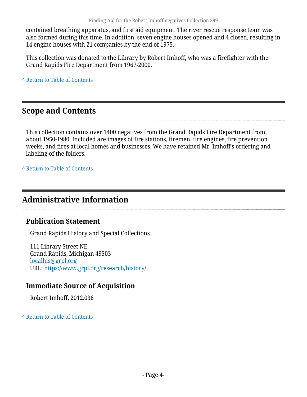contained breathing apparatus, and first aid equipment. The river rescue response team was also formed during this time. In addition, seven engine houses opened and 4 closed, resulting in 14 engine houses with 21 companies by the end of 1975.

This collection was donated to the Library by Robert Imhoff, who was a firefighter with the Grand Rapids Fire Department from 1967-2000.

**^** [Return to Table of Contents](#page-1-0)

#### <span id="page-3-0"></span>**Scope and Contents**

This collection contains over 1400 negatives from the Grand Rapids Fire Department from about 1950-1980. Included are images of fire stations, firemen, fire engines, fire prevention weeks, and fires at local homes and businesses. We have retained Mr. Imhoff's ordering and labeling of the folders.

**^** [Return to Table of Contents](#page-1-0)

### <span id="page-3-1"></span>**Administrative Information**

#### **Publication Statement**

Grand Rapids History and Special Collections

111 Library Street NE Grand Rapids, Michigan 49503 [localhis@grpl.org](mailto:localhis@grpl.org) URL:<https://www.grpl.org/research/history/>

#### **Immediate Source of Acquisition**

Robert Imhoff, 2012.036

**^** [Return to Table of Contents](#page-1-0)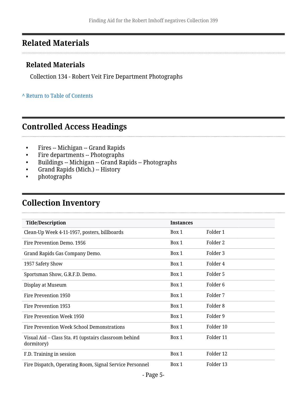# <span id="page-4-0"></span>**Related Materials**

#### **Related Materials**

Collection 134 - Robert Veit Fire Department Photographs

#### **^** [Return to Table of Contents](#page-1-0)

### <span id="page-4-1"></span>**Controlled Access Headings**

- Fires -- Michigan -- Grand Rapids
- Fire departments -- Photographs
- Buildings -- Michigan -- Grand Rapids -- Photographs
- Grand Rapids (Mich.) -- History
- photographs

. . . . . . . . . . . . . . . . . . .

# <span id="page-4-2"></span>**Collection Inventory**

| <b>Title/Description</b>                                            | <b>Instances</b> |                     |  |
|---------------------------------------------------------------------|------------------|---------------------|--|
| Clean-Up Week 4-11-1957, posters, billboards                        | Box 1            | Folder 1            |  |
| Fire Prevention Demo. 1956                                          | Box 1            | Folder 2            |  |
| Grand Rapids Gas Company Demo.                                      | Box 1            | Folder 3            |  |
| 1957 Safety Show                                                    | Box 1            | Folder 4            |  |
| Sportsman Show, G.R.F.D. Demo.                                      | Box 1            | Folder 5            |  |
| Display at Museum                                                   | Box 1            | Folder <sub>6</sub> |  |
| Fire Prevention 1950                                                | Box 1            | Folder 7            |  |
| Fire Prevention 1953                                                | Box 1            | Folder 8            |  |
| Fire Prevention Week 1950                                           | Box 1            | Folder 9            |  |
| Fire Prevention Week School Demonstrations                          | Box 1            | Folder 10           |  |
| Visual Aid – Class Sta. #1 (upstairs classroom behind<br>dormitory) | Box 1            | Folder 11           |  |
| F.D. Training in session                                            | Box 1            | Folder 12           |  |
| Fire Dispatch, Operating Room, Signal Service Personnel             | Box 1            | Folder 13           |  |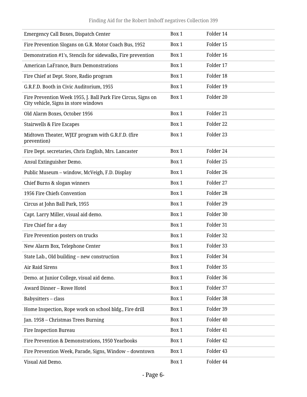| Emergency Call Boxes, Dispatch Center                                                                 | Box 1 | Folder 14 |
|-------------------------------------------------------------------------------------------------------|-------|-----------|
| Fire Prevention Slogans on G.R. Motor Coach Bus, 1952                                                 | Box 1 | Folder 15 |
| Demonstration #1's, Stencils for sidewalks, Fire prevention                                           | Box 1 | Folder 16 |
| American LaFrance, Burn Demonstrations                                                                | Box 1 | Folder 17 |
| Fire Chief at Dept. Store, Radio program                                                              | Box 1 | Folder 18 |
| G.R.F.D. Booth in Civic Auditorium, 1955                                                              | Box 1 | Folder 19 |
| Fire Prevention Week 1955, J. Ball Park Fire Circus, Signs on<br>City vehicle, Signs in store windows | Box 1 | Folder 20 |
| Old Alarm Boxes, October 1956                                                                         | Box 1 | Folder 21 |
| Stairwells & Fire Escapes                                                                             | Box 1 | Folder 22 |
| Midtown Theater, WJEF program with G.R.F.D. (fire<br>prevention)                                      | Box 1 | Folder 23 |
| Fire Dept. secretaries, Chris English, Mrs. Lancaster                                                 | Box 1 | Folder 24 |
| Ansul Extinguisher Demo.                                                                              | Box 1 | Folder 25 |
| Public Museum - window, McVeigh, F.D. Display                                                         | Box 1 | Folder 26 |
| Chief Burns & slogan winners                                                                          | Box 1 | Folder 27 |
| 1956 Fire Chiefs Convention                                                                           | Box 1 | Folder 28 |
| Circus at John Ball Park, 1955                                                                        | Box 1 | Folder 29 |
| Capt. Larry Miller, visual aid demo.                                                                  | Box 1 | Folder 30 |
| Fire Chief for a day                                                                                  | Box 1 | Folder 31 |
| Fire Prevention posters on trucks                                                                     | Box 1 | Folder 32 |
| New Alarm Box, Telephone Center                                                                       | Box 1 | Folder 33 |
| State Lab., Old building - new construction                                                           | Box 1 | Folder 34 |
| Air Raid Sirens                                                                                       | Box 1 | Folder 35 |
| Demo. at Junior College, visual aid demo.                                                             | Box 1 | Folder 36 |
| Award Dinner - Rowe Hotel                                                                             | Box 1 | Folder 37 |
| Babysitters-class                                                                                     | Box 1 | Folder 38 |
| Home Inspection, Rope work on school bldg., Fire drill                                                | Box 1 | Folder 39 |
| Jan. 1958 – Christmas Trees Burning                                                                   | Box 1 | Folder 40 |
| Fire Inspection Bureau                                                                                | Box 1 | Folder 41 |
| Fire Prevention & Demonstrations, 1950 Yearbooks                                                      | Box 1 | Folder 42 |
| Fire Prevention Week, Parade, Signs, Window - downtown                                                | Box 1 | Folder 43 |
| Visual Aid Demo.                                                                                      | Box 1 | Folder 44 |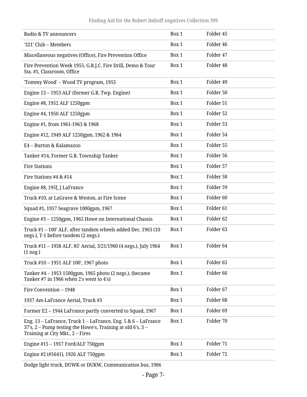#### Finding Aid for the Robert Imhoff negatives Collection 399

| Radio & TV announcers                                                                                                                                            | Box 1 | Folder 45            |
|------------------------------------------------------------------------------------------------------------------------------------------------------------------|-------|----------------------|
| '321' Club - Members                                                                                                                                             | Box 1 | Folder 46            |
| Miscellaneous negatives (Office), Fire Prevention Office                                                                                                         | Box 1 | Folder 47            |
| Fire Prevention Week 1955, G.R.J.C. Fire Drill, Demo & Tour<br>Sta. #1, Classroom, Office                                                                        | Box 1 | Folder 48            |
| 'Tommy Wood' - Wood TV program, 1955                                                                                                                             | Box 1 | Folder 49            |
| Engine 13 - 1953 ALF (former G.R. Twp. Engine)                                                                                                                   | Box 1 | Folder 50            |
| Engine #8, 1952 ALF 1250gpm                                                                                                                                      | Box 1 | Folder 51            |
| Engine #4, 1950 ALF 1250gpm                                                                                                                                      | Box 1 | Folder 52            |
| Engine #1, from 1961-1963 & 1968                                                                                                                                 | Box 1 | Folder 53            |
| Engine #12, 1949 ALF 1250gpm, 1962 & 1964                                                                                                                        | Box 1 | Folder 54            |
| E4 - Burton & Kalamazoo                                                                                                                                          | Box 1 | Folder 55            |
| Tanker #14, Former G.R. Township Tanker                                                                                                                          | Box 1 | Folder 56            |
| <b>Fire Stations</b>                                                                                                                                             | Box 1 | Folder 57            |
| Fire Stations #4 & #14                                                                                                                                           | Box 1 | Folder 58            |
| Engine #8, 195[] LaFrance                                                                                                                                        | Box 1 | Folder 59            |
| Truck #10, at LaGrave & Weston, at Fire Scene                                                                                                                    | Box 1 | Folder <sub>60</sub> |
| Squad #1, 1957 Seagrave 1000gpm, 1967                                                                                                                            | Box 1 | Folder <sub>61</sub> |
| Engine #3 - 1250gpm, 1965 Howe on International Chassis                                                                                                          | Box 1 | Folder <sub>62</sub> |
| Truck #1 - 100' ALF, after tandem wheels added Dec. 1963 (10<br>negs.), T-1 before tandem (2 negs.)                                                              | Box 1 | Folder <sub>63</sub> |
| Truck #11 - 1958 ALF, 85' Aerial, 3/21/1960 (4 negs.), July 1964<br>$(1$ neg.)                                                                                   | Box 1 | Folder 64            |
| Truck #10 - 1951 ALF 100', 1967 photo                                                                                                                            | Box 1 | Folder <sub>65</sub> |
| Tanker #4 - 1953 1500gpm, 1965 photo (2 negs.), (became<br>Tanker #7 in 1966 when 2's went to 4's)                                                               | Box 1 | Folder <sub>66</sub> |
| Fire Convention - 1948                                                                                                                                           | Box 1 | Folder 67            |
| 1937 Am-LaFrance Aerial, Truck #3                                                                                                                                | Box 1 | Folder <sub>68</sub> |
| Former E2 - 1944 LaFrance partly converted to Squad, 1967                                                                                                        | Box 1 | Folder <sub>69</sub> |
| Eng. 13 - LaFrance, Truck 1 - LaFrance, Eng. 5 & 6 - LaFrance<br>37's, 2 - Pump testing the Howe's, Training at old 6's, 3 -<br>Training at City Mkt., 2 – Fires | Box 1 | Folder 70            |
| Engine $#15 - 1957$ Ford/ALF 750gpm                                                                                                                              | Box 1 | Folder 71            |
| Engine #2 (#5641), 1926 ALF 750gpm                                                                                                                               | Box 1 | Folder 72            |

Dodge light truck, DUWK or DUKW, Communication bus, 1966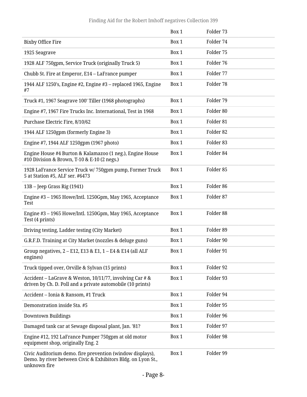|                                                                                                                                           | Box 1 | Folder 73 |
|-------------------------------------------------------------------------------------------------------------------------------------------|-------|-----------|
| <b>Bixby Office Fire</b>                                                                                                                  | Box 1 | Folder 74 |
| 1925 Seagrave                                                                                                                             | Box 1 | Folder 75 |
| 1928 ALF 750gpm, Service Truck (originally Truck 5)                                                                                       | Box 1 | Folder 76 |
| Chubb St. Fire at Emperor, E14 - LaFrance pumper                                                                                          | Box 1 | Folder 77 |
| 1944 ALF 1250's, Engine #2, Engine #3 - replaced 1965, Engine<br>#7                                                                       | Box 1 | Folder 78 |
| Truck #1, 1967 Seagrave 100' Tiller (1968 photographs)                                                                                    | Box 1 | Folder 79 |
| Engine #7, 1967 Fire Trucks Inc. International, Test in 1968                                                                              | Box 1 | Folder 80 |
| Purchase Electric Fire, 8/10/62                                                                                                           | Box 1 | Folder 81 |
| 1944 ALF 1250gpm (formerly Engine 3)                                                                                                      | Box 1 | Folder 82 |
| Engine #7, 1944 ALF 1250gpm (1967 photo)                                                                                                  | Box 1 | Folder 83 |
| Engine House #4 Burton & Kalamazoo (1 neg.), Engine House<br>#10 Division & Brown, T-10 & E-10 (2 negs.)                                  | Box 1 | Folder 84 |
| 1928 LaFrance Service Truck w/ 750gpm pump, Former Truck<br>5 at Station #5, ALF ser. #6473                                               | Box 1 | Folder 85 |
| 13B – Jeep Grass Rig (1941)                                                                                                               | Box 1 | Folder 86 |
| Engine #3 - 1965 Howe/Intl. 1250Gpm, May 1965, Acceptance<br>Test                                                                         | Box 1 | Folder 87 |
| Engine #3 - 1965 Howe/Intl. 1250Gpm, May 1965, Acceptance<br>Test (4 prints)                                                              | Box 1 | Folder 88 |
| Driving testing, Ladder testing (City Market)                                                                                             | Box 1 | Folder 89 |
| G.R.F.D. Training at City Market (nozzles & deluge guns)                                                                                  | Box 1 | Folder 90 |
| Group negatives, 2 - E12, E13 & E1, 1 - E4 & E14 (all ALF<br>engines)                                                                     | Box 1 | Folder 91 |
| Truck tipped over, Orville & Sylvan (15 prints)                                                                                           | Box 1 | Folder 92 |
| Accident - LaGrave & Weston, 10/11/77, involving Car # &<br>driven by Ch. D. Poll and a private automobile (10 prints)                    | Box 1 | Folder 93 |
| Accident – Ionia & Ransom, #1 Truck                                                                                                       | Box 1 | Folder 94 |
| Demonstration inside Sta. #5                                                                                                              | Box 1 | Folder 95 |
| Downtown Buildings                                                                                                                        | Box 1 | Folder 96 |
| Damaged tank car at Sewage disposal plant, Jan. '81?                                                                                      | Box 1 | Folder 97 |
| Engine #12, 192 LaFrance Pumper 750gpm at old motor<br>equipment shop, originally Eng. 2                                                  | Box 1 | Folder 98 |
| Civic Auditorium demo. fire prevention (window displays),<br>Demo. by river between Civic & Exhibitors Bldg. on Lyon St.,<br>unknown fire | Box 1 | Folder 99 |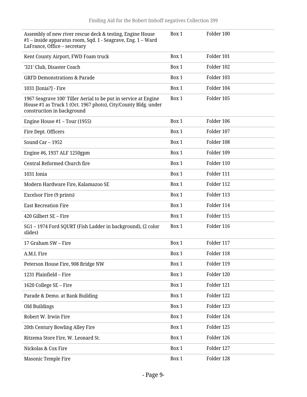| Assembly of new river rescue deck & testing, Engine House<br>#1 - inside apparatus room, Sqd. 1 - Seagrave, Eng. 1 - Ward<br>LaFrance, Office - secretary       | Box 1 | Folder 100 |
|-----------------------------------------------------------------------------------------------------------------------------------------------------------------|-------|------------|
| Kent County Airport, FWD Foam truck                                                                                                                             | Box 1 | Folder 101 |
| '321' Club, Disaster Coach                                                                                                                                      | Box 1 | Folder 102 |
| <b>GRFD Demonstrations &amp; Parade</b>                                                                                                                         | Box 1 | Folder 103 |
| 1031 [Ionia?] - Fire                                                                                                                                            | Box 1 | Folder 104 |
| 1967 Seagrave 100' Tiller Aerial to be put in service at Engine<br>House #1 as Truck 1 (Oct. 1967 photo), City/County Bldg. under<br>construction in background | Box 1 | Folder 105 |
| Engine House $#1$ – Tour (1955)                                                                                                                                 | Box 1 | Folder 106 |
| Fire Dept. Officers                                                                                                                                             | Box 1 | Folder 107 |
| Sound $Car - 1952$                                                                                                                                              | Box 1 | Folder 108 |
| Engine #6, 1937 ALF 1250gpm                                                                                                                                     | Box 1 | Folder 109 |
| Central Reformed Church fire                                                                                                                                    | Box 1 | Folder 110 |
| 1031 Ionia                                                                                                                                                      | Box 1 | Folder 111 |
| Modern Hardware Fire, Kalamazoo SE                                                                                                                              | Box 1 | Folder 112 |
| Excelsor Fire (9 prints)                                                                                                                                        | Box 1 | Folder 113 |
| <b>East Recreation Fire</b>                                                                                                                                     | Box 1 | Folder 114 |
| 420 Gilbert SE - Fire                                                                                                                                           | Box 1 | Folder 115 |
| SG1-1974 Ford SQURT (Fish Ladder in background), (2 color<br>slides)                                                                                            | Box 1 | Folder 116 |
| 17 Graham SW - Fire                                                                                                                                             | Box 1 | Folder 117 |
| A.M.I. Fire                                                                                                                                                     | Box 1 | Folder 118 |
| Peterson House Fire, 908 Bridge NW                                                                                                                              | Box 1 | Folder 119 |
| 1231 Plainfield - Fire                                                                                                                                          | Box 1 | Folder 120 |
| 1620 College SE - Fire                                                                                                                                          | Box 1 | Folder 121 |
| Parade & Demo. at Bank Building                                                                                                                                 | Box 1 | Folder 122 |
| Old Buildings                                                                                                                                                   | Box 1 | Folder 123 |
| Robert W. Irwin Fire                                                                                                                                            | Box 1 | Folder 124 |
| 20th Century Bowling Alley Fire                                                                                                                                 | Box 1 | Folder 125 |
| Ritzema Store Fire, W. Leonard St.                                                                                                                              | Box 1 | Folder 126 |
| Nickolas & Cox Fire                                                                                                                                             | Box 1 | Folder 127 |
| <b>Masonic Temple Fire</b>                                                                                                                                      | Box 1 | Folder 128 |